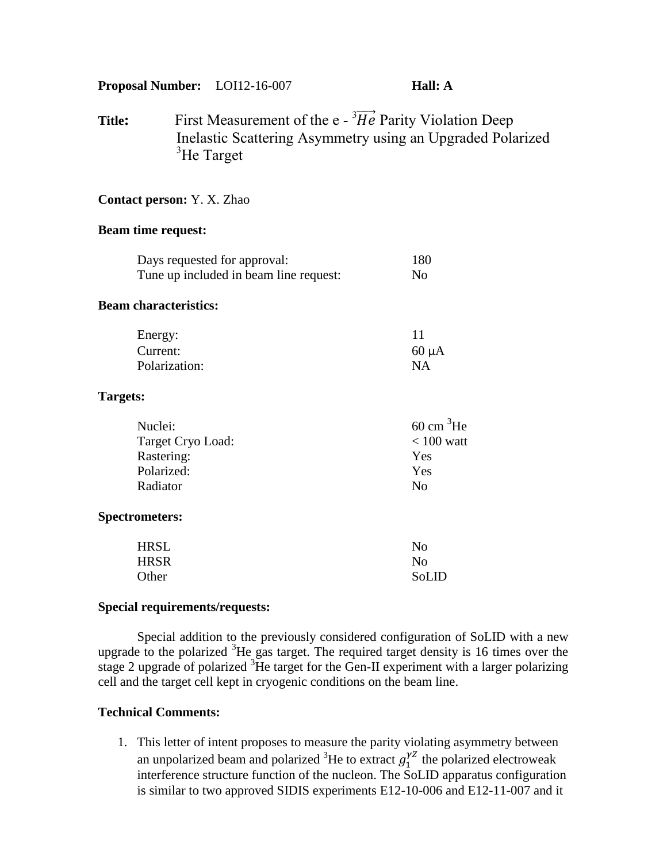**Proposal Number:** LOI12-16-007 **Hall: A**

**Title:** First Measurement of the  $e^{-3} \overrightarrow{He}$  Parity Violation Deep Inelastic Scattering Asymmetry using an Upgraded Polarized  ${}^{3}$ He Target

# **Contact person:** Y. X. Zhao

## **Beam time request:**

| Days requested for approval: | Tune up included in beam line request: | 180<br>N <sub>o</sub> |
|------------------------------|----------------------------------------|-----------------------|
| <b>Beam characteristics:</b> |                                        |                       |
| Energy:                      |                                        | 11                    |
| Current:                     |                                        | $60 \mu A$            |
| Polarization:                |                                        | <b>NA</b>             |
| Targets:                     |                                        |                       |
| Nuclei:                      |                                        | $60 \text{ cm}^3$ He  |
| Target Cryo Load:            |                                        | $< 100$ watt          |
| Rastering:                   |                                        | Yes                   |
| Polarized:                   |                                        | Yes                   |
| Radiator                     |                                        | N <sub>0</sub>        |
| <b>Spectrometers:</b>        |                                        |                       |
| <b>HRSL</b>                  |                                        | N <sub>0</sub>        |
| <b>HRSR</b>                  |                                        | N <sub>0</sub>        |
| Other                        |                                        | SoLID                 |

# **Special requirements/requests:**

Special addition to the previously considered configuration of SoLID with a new upgrade to the polarized  ${}^{3}$ He gas target. The required target density is 16 times over the stage 2 upgrade of polarized <sup>3</sup>He target for the Gen-II experiment with a larger polarizing cell and the target cell kept in cryogenic conditions on the beam line.

# **Technical Comments:**

1. This letter of intent proposes to measure the parity violating asymmetry between an unpolarized beam and polarized <sup>3</sup>He to extract  $g_1^{\gamma Z}$  the polarized electroweak interference structure function of the nucleon. The SoLID apparatus configuration is similar to two approved SIDIS experiments E12-10-006 and E12-11-007 and it